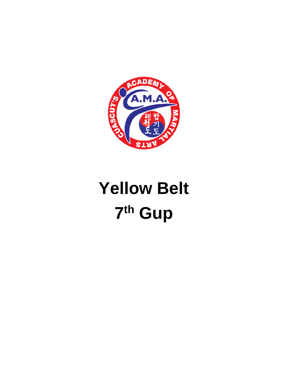

## **Yellow Belt** 7th Gup